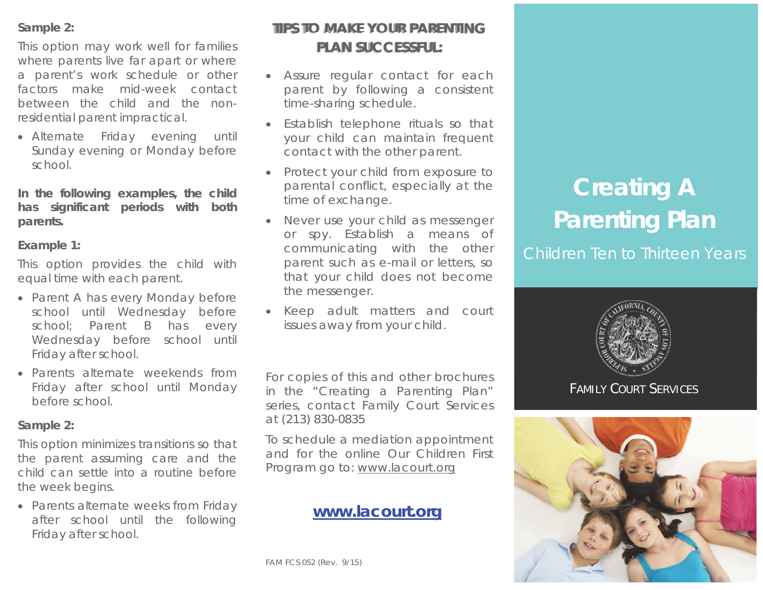## **Sample 2:**

This option may work well for families where parents live far apart or where a parent's work schedule or other factors make mid-week contact between the child and the nonresidential parent impractical.

• Alternate Friday evening until Sunday evening or Monday before school.

**In the following examples, the child has significant periods with both parents.** 

## **Example 1:**

This option provides the child with equal time with each parent.

- Parent A has every Monday before school until Wednesday before school: Parent B has every Wednesday before school until Friday after school.
- x Parents alternate weekends from Friday after school until Monday before school.

## **Sample 2:**

This option minimizes transitions so that the parent assuming care and the child can settle into a routine before the week begins.

• Parents alternate weeks from Friday after school until the following Friday after school.

# **TIPS TO MAKE YOUR PARENTING PLAN SUCCESSFUL:**

- Assure regular contact for each parent by following a consistent time-sharing schedule.
- Establish telephone rituals so that your child can maintain frequent contact with the other parent.
- Protect your child from exposure to parental conflict, especially at the time of exchange.
- Never use your child as messenger or spy. Establish a means of communicating with the other parent such as e-mail or letters, so that your child does not become the messenger.
- Keep adult matters and court issues away from your child.

For copies of this and other brochures in the "Creating a Parenting Plan" series, contact Family Court Services at (213) 830-0835

To schedule a mediation appointment and for the online Our Children First Program go to: www.lacourt.org

# **www.lacourt.org**

# **Creating A Parenting Plan**

Children Ten to Thirteen Years



FAMILY COURT SERVICES